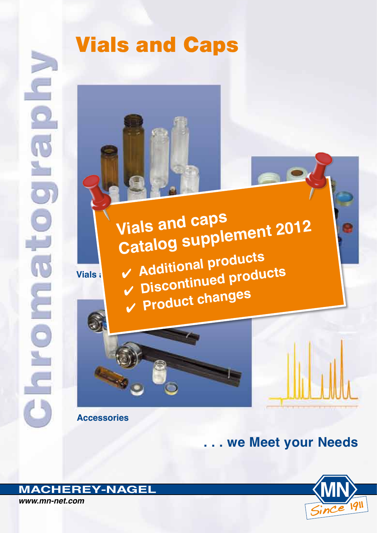# Vials and Caps

**Vials & Continued products Vials and caps Catalog supplement 2012** ✔ **Additional products** ✔ **Product changes**



**Accessories**

**. . . we Meet your Needs**



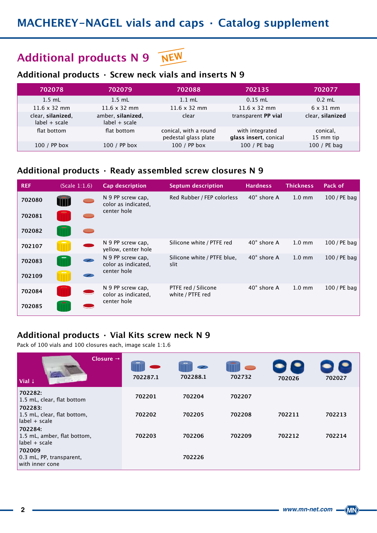### **Additional products N 9 NEW**

### **Additional products · Screw neck vials and inserts N 9**

| 702078                               | 702079                               | 702088                                        | 702135                                   | 702077                |
|--------------------------------------|--------------------------------------|-----------------------------------------------|------------------------------------------|-----------------------|
| $1.5$ mL                             | $1.5$ mL                             | $1.1 \text{ mL}$                              | $0.15$ mL                                | $0.2$ mL              |
| $11.6 \times 32$ mm                  | $11.6 \times 32$ mm                  | $11.6 \times 32$ mm                           | $11.6 \times 32$ mm                      | $6 \times 31$ mm      |
| clear, silanized,<br>$label + scale$ | amber, silanized,<br>$label + scale$ | clear                                         | transparent PP vial                      | clear, silanized      |
| flat bottom                          | flat bottom                          | conical, with a round<br>pedestal glass plate | with integrated<br>glass insert, conical | conical,<br>15 mm tip |
| 100 / PP box                         | 100 / PP box                         | 100 / PP box                                  | 100 / PE bag                             | 100 / PE bag          |

### **Additional products · Ready assembled screw closures N 9**

| <b>REF</b> | (Scale 1:1.6) | <b>Cap description</b>                                  | <b>Septum description</b>               | <b>Hardness</b>    | <b>Thickness</b> | Pack of        |
|------------|---------------|---------------------------------------------------------|-----------------------------------------|--------------------|------------------|----------------|
| 702080     |               | N 9 PP screw cap.<br>color as indicated,                | Red Rubber / FEP colorless              | $40^\circ$ shore A | $1.0 \text{ mm}$ | 100 / PE bag   |
| 702081     |               | center hole                                             |                                         |                    |                  |                |
| 702082     |               |                                                         |                                         |                    |                  |                |
| 702107     |               | N 9 PP screw cap.<br>yellow, center hole                | Silicone white / PTFE red               | $40^\circ$ shore A | $1.0 \text{ mm}$ | 100 / PE bag   |
| 702083     |               | N 9 PP screw cap,<br>color as indicated,<br>center hole | Silicone white / PTFE blue,<br>slit     | 40° shore A        | $1.0 \text{ mm}$ | $100$ / PE bag |
| 702109     |               |                                                         |                                         |                    |                  |                |
| 702084     |               | N 9 PP screw cap,<br>color as indicated,                | PTFE red / Silicone<br>white / PTFE red | $40^\circ$ shore A | $1.0 \text{ mm}$ | $100$ / PE bag |
| 702085     |               | center hole                                             |                                         |                    |                  |                |

#### **Additional products · Vial Kits screw neck N 9**

Pack of 100 vials and 100 closures each, image scale 1:1.6

| Closure $\rightarrow$<br>Vial $\downarrow$                | 702287.1 | $\bullet$<br>702288.1 | 702732 | 702026 | 702027 |
|-----------------------------------------------------------|----------|-----------------------|--------|--------|--------|
| 702282:<br>1.5 mL, clear, flat bottom                     | 702201   | 702204                | 702207 |        |        |
| 702283:<br>1.5 mL, clear, flat bottom,<br>$label + scale$ | 702202   | 702205                | 702208 | 702211 | 702213 |
| 702284:<br>1.5 mL, amber, flat bottom,<br>$label + scale$ | 702203   | 702206                | 702209 | 702212 | 702214 |
| 702009<br>0.3 mL, PP, transparent,<br>with inner cone     |          | 702226                |        |        |        |

 $\langle$ MN $\rangle$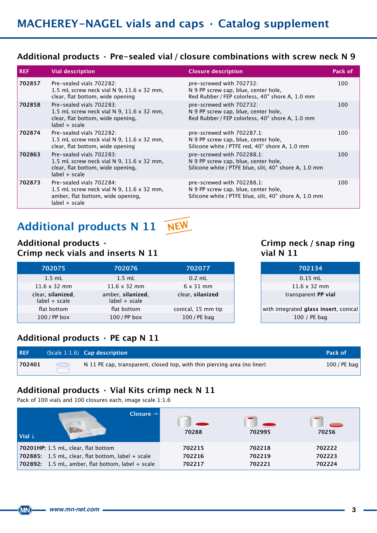#### **Additional products · Pre-sealed vial / closure combinations with screw neck N 9**

| <b>REF</b> | <b>Vial description</b>                                                                                                              | <b>Closure description</b>                                                                                                  | Pack of |
|------------|--------------------------------------------------------------------------------------------------------------------------------------|-----------------------------------------------------------------------------------------------------------------------------|---------|
| 702857     | Pre-sealed vials 702282:<br>1.5 mL screw neck vial N 9, $11.6 \times 32$ mm,<br>clear, flat bottom, wide opening                     | pre-screwed with 702732:<br>N 9 PP screw cap, blue, center hole,<br>Red Rubber / FEP colorless, 40° shore A, 1.0 mm         | 100     |
| 702858     | Pre-sealed vials 702283:<br>1.5 mL screw neck vial N 9, 11.6 x 32 mm,<br>clear, flat bottom, wide opening,<br>$label + scale$        | pre-screwed with 702732:<br>N 9 PP screw cap, blue, center hole,<br>Red Rubber / FEP colorless, 40° shore A, 1.0 mm         | 100     |
| 702874     | Pre-sealed vials 702282:<br>1.5 mL screw neck vial N 9, 11.6 x 32 mm,<br>clear, flat bottom, wide opening                            | pre-screwed with 702287.1:<br>N 9 PP screw cap, blue, center hole,<br>Silicone white / PTFE red, 40° shore A, 1.0 mm        | 100     |
| 702863     | Pre-sealed vials 702283:<br>1.5 mL screw neck vial N 9, 11.6 $\times$ 32 mm,<br>clear, flat bottom, wide opening,<br>$label + scale$ | pre-screwed with 702288.1:<br>N 9 PP screw cap, blue, center hole,<br>Silicone white / PTFE blue, slit, 40° shore A, 1.0 mm | 100     |
| 702873     | Pre-sealed vials 702284:<br>1.5 mL screw neck vial N 9, $11.6 \times 32$ mm,<br>amber, flat bottom, wide opening,<br>$label + scale$ | pre-screwed with 702288.1:<br>N 9 PP screw cap, blue, center hole,<br>Silicone white / PTFE blue, slit, 40° shore A, 1.0 mm | 100     |

### **Additional products N 11 NEW**

#### **Additional products · Crimp neck vials and inserts N 11**

| 702075                               | 702076                               | 702077             | 702134                                |
|--------------------------------------|--------------------------------------|--------------------|---------------------------------------|
| $1.5$ mL                             | $1.5$ mL                             | $0.2$ mL           | $0.15$ mL                             |
| $11.6 \times 32$ mm                  | $11.6 \times 32$ mm                  | $6 \times 31$ mm   | $11.6 \times 32$ mm                   |
| clear, silanized,<br>$label + scale$ | amber, silanized,<br>$label + scale$ | clear, silanized   | transparent PP vial                   |
| flat bottom                          | flat bottom                          | conical, 15 mm tip | with integrated glass insert, conical |
| 100 / PP box                         | $100$ / PP box                       | 100 / PE bag       | 100 / PE bag                          |

#### **Crimp neck / snap ring vial N 11**

| 702077            | 702134                                |
|-------------------|---------------------------------------|
| $0.2$ mL          | $0.15$ mL                             |
| $6 \times 31$ mm  | $11.6 \times 32$ mm                   |
| clear, silanized  | transparent PP vial                   |
| onical, 15 mm tip | with integrated glass insert, conical |
| 100 / PE bag      | 100 / PE bag                          |

### **Additional products · PE cap N 11**

| <b>REF</b> |         | $(Scale 1:1.6)$ Cap description                                          | Pack of        |
|------------|---------|--------------------------------------------------------------------------|----------------|
| 702401     | $\circ$ | N 11 PE cap, transparent, closed top, with thin piercing area (no liner) | $100$ / PE bag |

### **Additional products · Vial Kits crimp neck N 11**

Pack of 100 vials and 100 closures each, image scale 1:1.6

| Closure $\rightarrow$<br>$Val \downarrow$           | 70288  | 702995 | 70256  |
|-----------------------------------------------------|--------|--------|--------|
| 70201HP: 1.5 mL, clear, flat bottom                 | 702215 | 702218 | 702222 |
| 702885: 1.5 mL, clear, flat bottom, label $+$ scale | 702216 | 702219 | 702223 |
| 702892: 1.5 mL, amber, flat bottom, label + scale   | 702217 | 702221 | 702224 |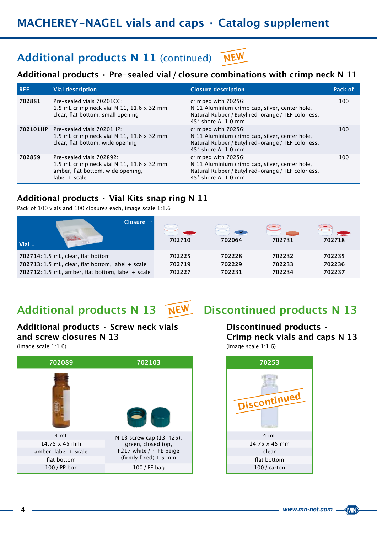### **MACHEREY-NAGEL vials and caps · Catalog supplement**

#### Additional products N 11 (continued) **NEW**

#### **Additional products · Pre-sealed vial / closure combinations with crimp neck N 11**

| <b>REF</b> | <b>Vial description</b>                                                                                                        | <b>Closure description</b>                                                                                                                         | Pack of |
|------------|--------------------------------------------------------------------------------------------------------------------------------|----------------------------------------------------------------------------------------------------------------------------------------------------|---------|
| 702881     | Pre-sealed vials 70201CG:<br>1.5 mL crimp neck vial N 11, 11.6 $\times$ 32 mm,<br>clear, flat bottom, small opening            | crimped with 70256:<br>N 11 Aluminium crimp cap, silver, center hole,<br>Natural Rubber / Butyl red-orange / TEF colorless,<br>45° shore A, 1.0 mm | 100     |
|            | 702101HP Pre-sealed vials 70201HP:<br>1.5 mL crimp neck vial N 11, 11.6 $\times$ 32 mm,<br>clear, flat bottom, wide opening    | crimped with 70256:<br>N 11 Aluminium crimp cap, silver, center hole,<br>Natural Rubber / Butyl red-orange / TEF colorless,<br>45° shore A, 1.0 mm | 100     |
| 702859     | Pre-sealed vials 702892:<br>1.5 mL crimp neck vial N 11, 11.6 x 32 mm,<br>amber, flat bottom, wide opening,<br>$label + scale$ | crimped with 70256:<br>N 11 Aluminium crimp cap, silver, center hole,<br>Natural Rubber / Butyl red-orange / TEF colorless,<br>45° shore A, 1.0 mm | 100     |

#### **Additional products · Vial Kits snap ring N 11**

Pack of 100 vials and 100 closures each, image scale 1:1.6

| Closure $\rightarrow$<br>Vial $\downarrow$        | 702710 | $\mathbf{\times}$<br>702064 | 702731 | 702718 |
|---------------------------------------------------|--------|-----------------------------|--------|--------|
| 702714: 1.5 mL, clear, flat bottom                | 702225 | 702228                      | 702232 | 702235 |
| 702713: 1.5 mL, clear, flat bottom, label + scale | 702719 | 702229                      | 702233 | 702236 |
| 702712: 1.5 mL, amber, flat bottom, label + scale | 702227 | 702231                      | 702234 | 702237 |

#### **Additional products N 13 NEW**

### **Additional products · Screw neck vials and screw closures N 13**

(image scale 1:1.6)



### **Discontinued products N 13**

#### **Discontinued products · Crimp neck vials and caps N 13** (image scale 1:1.6)



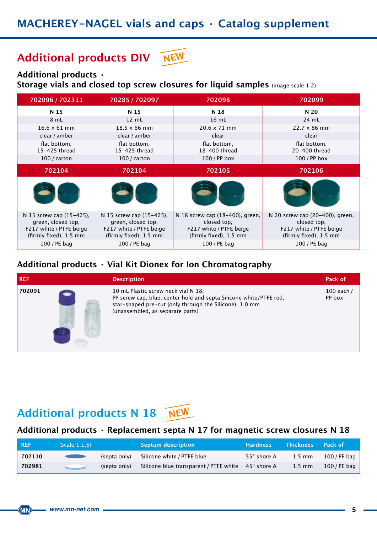### **Additional products DIV NEW**

#### **Additional products ·**

**Storage vials and closed top screw closures for liquid samples** (image scale 1:2)

| 702096 / 702311                                                                                     | 70285 / 702097                                                                                      | 702098                                                                                              | 702099                                                                                              |
|-----------------------------------------------------------------------------------------------------|-----------------------------------------------------------------------------------------------------|-----------------------------------------------------------------------------------------------------|-----------------------------------------------------------------------------------------------------|
| N 15                                                                                                | N 15                                                                                                | N 18                                                                                                | N 20                                                                                                |
| 8 mL                                                                                                | 12 mL                                                                                               | 16 mL                                                                                               | 24 mL                                                                                               |
| $16.6 \times 61$ mm                                                                                 | $18.5 \times 66$ mm                                                                                 | $20.6 \times 71$ mm                                                                                 | $22.7 \times 86$ mm                                                                                 |
| clear / amber                                                                                       | clear / amber                                                                                       | clear                                                                                               | clear                                                                                               |
| flat bottom,<br>15-425 thread                                                                       | flat bottom,<br>15-425 thread                                                                       | flat bottom,<br>18-400 thread                                                                       | flat bottom,<br>20-400 thread                                                                       |
| $100 / \text{carton}$                                                                               | $100/$ carton                                                                                       | 100 / PP box                                                                                        | 100 / PP box                                                                                        |
| 702104                                                                                              | 702104                                                                                              | 702105                                                                                              | 702106                                                                                              |
|                                                                                                     |                                                                                                     |                                                                                                     |                                                                                                     |
| N 15 screw cap (15-425),<br>green, closed top,<br>F217 white / PTFE beige<br>(firmly fixed), 1.5 mm | N 15 screw cap (15-425),<br>green, closed top,<br>F217 white / PTFE beige<br>(firmly fixed), 1.5 mm | N 18 screw cap (18-400), green,<br>closed top,<br>F217 white / PTFE beige<br>(firmly fixed), 1.5 mm | N 20 screw cap (20-400), green,<br>closed top,<br>F217 white / PTFE beige<br>(firmly fixed), 1.5 mm |
| 100 / PE bag                                                                                        | 100 / PE bag                                                                                        | 100 / PE bag                                                                                        | 100 / PE bag                                                                                        |

### **Additional products · Vial Kit Dionex for Ion Chromatography**

| <b>REF</b> | <b>Description</b>                                                                                                                                                                                       | Pack of              |
|------------|----------------------------------------------------------------------------------------------------------------------------------------------------------------------------------------------------------|----------------------|
| 702091     | 10 mL Plastic screw neck vial N 18,<br>PP screw cap, blue, center hole and septa Silicone white/PTFE red,<br>star-shaped pre-cut (only through the Silicone), 1.0 mm<br>(unassembled, as separate parts) | 100 each /<br>PP box |

### **Additional products N 18 NEW**

#### **Additional products · Replacement septa N 17 for magnetic screw closures N 18**

| <b>REF</b> | (Scale 1:1.6)                                                                                                                                                                                                                        |              | Septum description                                 | <b>Hardness</b> | <b>Thickness</b> | <b>Pack of</b> |
|------------|--------------------------------------------------------------------------------------------------------------------------------------------------------------------------------------------------------------------------------------|--------------|----------------------------------------------------|-----------------|------------------|----------------|
| 702110     | <u> De Barbara (Barbara (Barbara (Barbara (Barbara (Barbara (Barbara (Barbara (Barbara (Barbara (Barbara (Barbara (Barbara (Barbara (Barbara (Barbara (Barbara (Barbara) (Barbara (Barbara) (Barbara (Barbara) (Barbara) (Barbar</u> | (septa only) | Silicone white / PTFE blue                         | 55° shore A     | $1.5 \text{ mm}$ | 100 / PE bag   |
| 702981     | $\sim$ $\sim$                                                                                                                                                                                                                        | (septa only) | Silicone blue transparent / PTFE white 45° shore A |                 | $1.5 \text{ mm}$ | 100 / PE bag   |

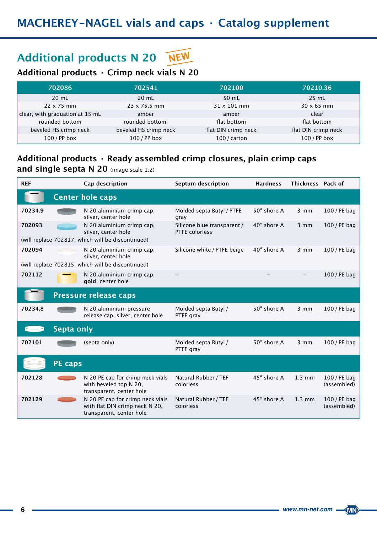## **Additional products N 20 NEW**

### **Additional products · Crimp neck vials N 20**

| 702086                          | 702541                | 702100              | 70210.36            |
|---------------------------------|-----------------------|---------------------|---------------------|
| $20 \text{ mL}$                 | $20 \text{ mL}$       | 50 mL               | $25$ mL             |
| $22 \times 75$ mm               | $23 \times 75.5$ mm   | $31 \times 101$ mm  | $30 \times 65$ mm   |
| clear, with graduation at 15 mL | amber                 | amber               | clear               |
| rounded bottom                  | rounded bottom,       | flat bottom         | flat bottom         |
| beveled HS crimp neck           | beveled HS crimp neck | flat DIN crimp neck | flat DIN crimp neck |
| 100 / PP box                    | $100$ / PP box        | $100$ / carton      | 100 / PP box        |

### **Additional products · Ready assembled crimp closures, plain crimp caps**

**and single septa N 20** (image scale 1:2)

| <b>REF</b> |                   | Cap description                                                                                       | Septum description                            | <b>Hardness</b>    | Thickness Pack of |                             |
|------------|-------------------|-------------------------------------------------------------------------------------------------------|-----------------------------------------------|--------------------|-------------------|-----------------------------|
|            |                   | <b>Center hole caps</b>                                                                               |                                               |                    |                   |                             |
| 70234.9    |                   | N 20 aluminium crimp cap,<br>silver, center hole                                                      | Molded septa Butyl / PTFE<br>gray             | 50° shore A        | $3 \, \text{mm}$  | 100 / PE bag                |
| 702093     |                   | N 20 aluminium crimp cap,<br>silver, center hole<br>(will replace 702817, which will be discontinued) | Silicone blue transparent /<br>PTFE colorless | 40° shore A        | $3 \, \text{mm}$  | 100 / PE bag                |
| 702094     | a 11              | N 20 aluminium crimp cap,<br>silver, center hole<br>(will replace 702815, which will be discontinued) | Silicone white / PTFE beige                   | $40^\circ$ shore A | $3 \, \text{mm}$  | 100 / PE bag                |
| 702112     |                   | N 20 aluminium crimp cap,<br>gold, center hole                                                        |                                               |                    |                   | 100 / PE bag                |
|            |                   | <b>Pressure release caps</b>                                                                          |                                               |                    |                   |                             |
| 70234.8    |                   | N 20 aluminium pressure<br>release cap, silver, center hole                                           | Molded septa Butyl /<br>PTFE gray             | 50° shore A        | $3 \, \text{mm}$  | 100 / PE bag                |
|            | <b>Septa only</b> |                                                                                                       |                                               |                    |                   |                             |
| 702101     |                   | (septa only)                                                                                          | Molded septa Butyl /<br>PTFE gray             | 50° shore A        | $3 \, \text{mm}$  | 100 / PE bag                |
|            | <b>PE caps</b>    |                                                                                                       |                                               |                    |                   |                             |
| 702128     |                   | N 20 PE cap for crimp neck vials<br>with beveled top N 20,<br>transparent, center hole                | Natural Rubber / TEF<br>colorless             | 45° shore A        | $1.3 \text{ mm}$  | 100 / PE bag<br>(assembled) |
| 702129     |                   | N 20 PE cap for crimp neck vials<br>with flat DIN crimp neck N 20,<br>transparent, center hole        | Natural Rubber / TEF<br>colorless             | 45° shore A        | $1.3 \text{ mm}$  | 100 / PE bag<br>(assembled) |

 $\langle$ MN $\rangle$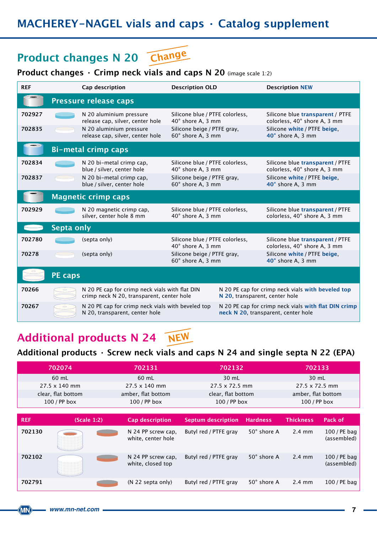### **MACHEREY-NAGEL vials and caps · Catalog supplement**

# **Product changes N 20 Change**

### **Product changes · Crimp neck vials and caps N 20** (image scale 1:2)

| <b>REF</b>                 |                            | Cap description                                                                             | <b>Description OLD</b>                                                              |                                | <b>Description NEW</b>                                                                           |  |  |
|----------------------------|----------------------------|---------------------------------------------------------------------------------------------|-------------------------------------------------------------------------------------|--------------------------------|--------------------------------------------------------------------------------------------------|--|--|
| Pressure release caps      |                            |                                                                                             |                                                                                     |                                |                                                                                                  |  |  |
| 702927<br>702835           |                            | N 20 aluminium pressure<br>release cap, silver, center hole<br>N 20 aluminium pressure      | Silicone blue / PTFE colorless,<br>40° shore A, 3 mm<br>Silicone beige / PTFE gray, |                                | Silicone blue transparent / PTFE<br>colorless, 40° shore A, 3 mm<br>Silicone white / PTFE beige. |  |  |
|                            |                            | release cap, silver, center hole                                                            | 60° shore A, 3 mm                                                                   |                                | 40° shore A, 3 mm                                                                                |  |  |
| <b>Bi-metal crimp caps</b> |                            |                                                                                             |                                                                                     |                                |                                                                                                  |  |  |
| 702834                     |                            | N 20 bi-metal crimp cap,<br>blue / silver, center hole                                      | Silicone blue / PTFE colorless,<br>40° shore A, 3 mm                                |                                | Silicone blue transparent / PTFE<br>colorless, 40° shore A, 3 mm                                 |  |  |
| 702837                     |                            | N 20 bi-metal crimp cap,<br>blue / silver, center hole                                      | Silicone beige / PTFE gray,<br>60° shore A, 3 mm                                    |                                | Silicone white / PTFE beige,<br>40° shore A, 3 mm                                                |  |  |
|                            | <b>Magnetic crimp caps</b> |                                                                                             |                                                                                     |                                |                                                                                                  |  |  |
| 702929                     |                            | N 20 magnetic crimp cap,<br>silver, center hole 8 mm                                        | Silicone blue / PTFE colorless,<br>40° shore A, 3 mm                                |                                | Silicone blue transparent / PTFE<br>colorless, 40° shore A, 3 mm                                 |  |  |
| Septa only                 |                            |                                                                                             |                                                                                     |                                |                                                                                                  |  |  |
| 702780                     |                            | (septa only)                                                                                | Silicone blue / PTFE colorless,<br>40° shore A, 3 mm                                |                                | Silicone blue transparent / PTFE<br>colorless, 40° shore A, 3 mm                                 |  |  |
| 70278                      |                            | (septa only)                                                                                | Silicone beige / PTFE gray,<br>60° shore A, 3 mm                                    |                                | Silicone white / PTFE beige.<br>40° shore A, 3 mm                                                |  |  |
|                            | <b>PE</b> caps             |                                                                                             |                                                                                     |                                |                                                                                                  |  |  |
| 70266                      |                            | N 20 PE cap for crimp neck vials with flat DIN<br>crimp neck N 20, transparent, center hole |                                                                                     | N 20, transparent, center hole | N 20 PE cap for crimp neck vials with beveled top                                                |  |  |
| 70267                      |                            | N 20 PE cap for crimp neck vials with beveled top<br>N 20, transparent, center hole         |                                                                                     |                                | N 20 PE cap for crimp neck vials with flat DIN crimp<br>neck N 20, transparent, center hole      |  |  |

## **Additional products N 24 NEW**

### **Additional products · Screw neck vials and caps N 24 and single septa N 22 (EPA)**

| 702074               |                    | 702131                                   | 702132                    |                 | 702133                |                             |
|----------------------|--------------------|------------------------------------------|---------------------------|-----------------|-----------------------|-----------------------------|
| 60 mL                |                    | 60 mL                                    | 30 mL                     |                 | 30 mL                 |                             |
| $27.5 \times 140$ mm |                    | $27.5 \times 140$ mm                     | $27.5 \times 72.5$ mm     |                 | $27.5 \times 72.5$ mm |                             |
|                      | clear, flat bottom | amber, flat bottom                       | clear, flat bottom        |                 | amber, flat bottom    |                             |
| 100 / PP box         |                    | 100 / PP box                             | 100 / PP box              |                 | $100$ / PP box        |                             |
|                      |                    |                                          |                           |                 |                       |                             |
| <b>REF</b>           | (Scale 1:2)        | <b>Cap description</b>                   | <b>Septum description</b> | <b>Hardness</b> | <b>Thickness</b>      | Pack of                     |
| 702130               |                    | N 24 PP screw cap,<br>white, center hole | Butyl red / PTFE gray     | 50° shore A     | $2.4 \text{ mm}$      | 100 / PE bag<br>(assembled) |
| 702102               |                    | N 24 PP screw cap.<br>white, closed top  | Butyl red / PTFE gray     | 50° shore A     | $2.4 \text{ mm}$      | 100 / PE bag<br>(assembled) |
| 702791               |                    | $(N 22$ septa only)                      | Butyl red / PTFE gray     | 50° shore A     | $2.4 \text{ mm}$      | $100$ / PE bag              |

 $\langle$ MN $\rangle$